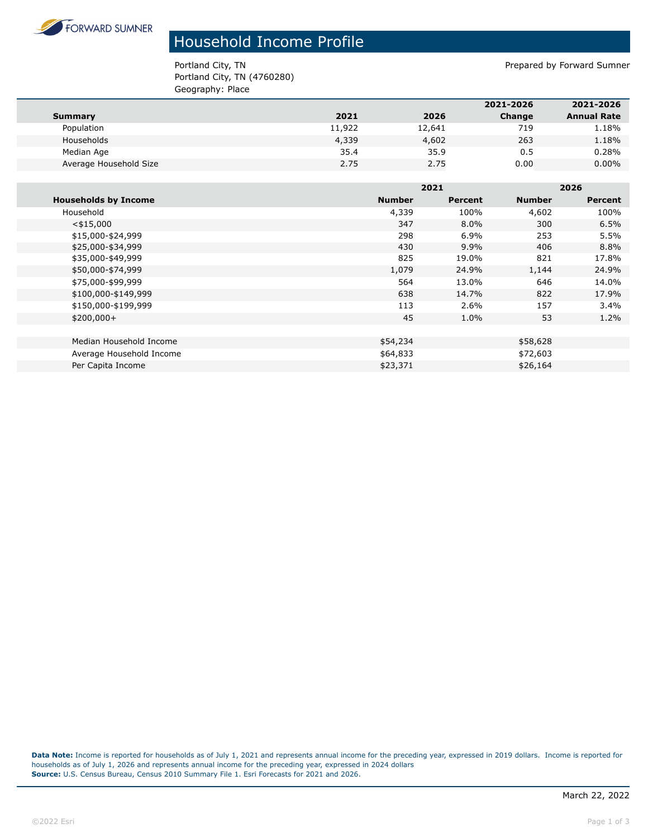

## Household Income Profile

Portland City, TN Prepared by Forward Sumner Portland City, TN (4760280) Geography: Place

|                        |        |        | 2021-2026 | 2021-2026          |
|------------------------|--------|--------|-----------|--------------------|
| Summary                | 2021   | 2026   | Change    | <b>Annual Rate</b> |
| Population             | 11,922 | 12,641 | 719       | 1.18%              |
| Households             | 4,339  | 4,602  | 263       | 1.18%              |
| Median Age             | 35.4   | 35.9   | 0.5       | 0.28%              |
| Average Household Size | 2.75   | 2.75   | 0.00      | $0.00\%$           |
|                        |        |        |           |                    |

|                             |               | 2021    |               | 2026    |  |
|-----------------------------|---------------|---------|---------------|---------|--|
| <b>Households by Income</b> | <b>Number</b> | Percent | <b>Number</b> | Percent |  |
| Household                   | 4,339         | 100%    | 4,602         | 100%    |  |
| $<$ \$15,000                | 347           | $8.0\%$ | 300           | 6.5%    |  |
| \$15,000-\$24,999           | 298           | 6.9%    | 253           | 5.5%    |  |
| \$25,000-\$34,999           | 430           | 9.9%    | 406           | 8.8%    |  |
| \$35,000-\$49,999           | 825           | 19.0%   | 821           | 17.8%   |  |
| \$50,000-\$74,999           | 1,079         | 24.9%   | 1,144         | 24.9%   |  |
| \$75,000-\$99,999           | 564           | 13.0%   | 646           | 14.0%   |  |
| \$100,000-\$149,999         | 638           | 14.7%   | 822           | 17.9%   |  |
| \$150,000-\$199,999         | 113           | 2.6%    | 157           | 3.4%    |  |
| $$200,000+$                 | 45            | 1.0%    | 53            | $1.2\%$ |  |
|                             |               |         |               |         |  |
| Median Household Income     | \$54,234      |         | \$58,628      |         |  |
| Average Household Income    | \$64,833      |         | \$72,603      |         |  |
| Per Capita Income           | \$23,371      |         | \$26,164      |         |  |

**Data Note:** Income is reported for households as of July 1, 2021 and represents annual income for the preceding year, expressed in 2019 dollars. Income is reported for households as of July 1, 2026 and represents annual income for the preceding year, expressed in 2024 dollars **Source:** U.S. Census Bureau, Census 2010 Summary File 1. Esri Forecasts for 2021 and 2026.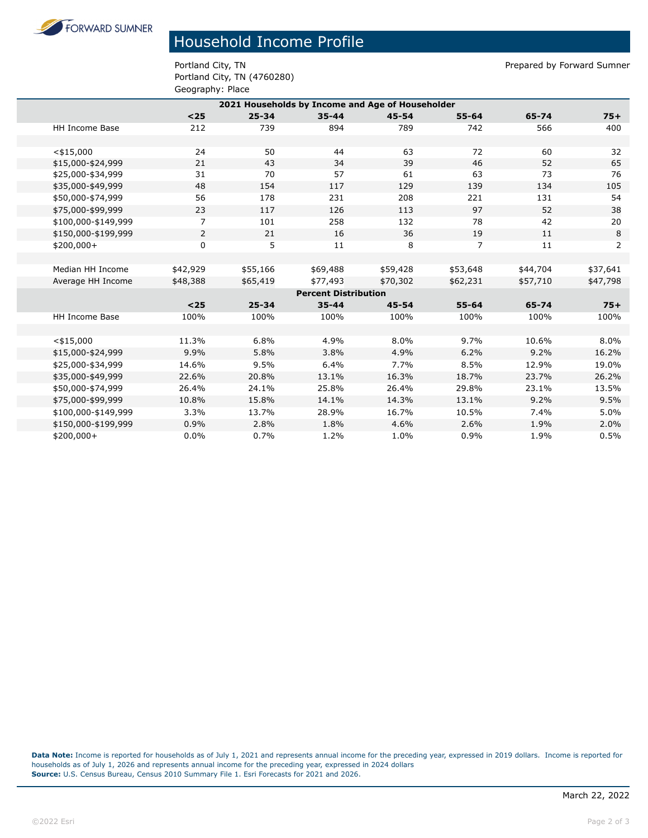**FORWARD SUMNER** 

## Household Income Profile

Portland City, TN (4760280) Geography: Place

Portland City, TN Prepared by Forward Sumner

|                                                  | - 2 - <del>-</del> - - 1 - - - - |           |           |           |                |          |          |  |
|--------------------------------------------------|----------------------------------|-----------|-----------|-----------|----------------|----------|----------|--|
| 2021 Households by Income and Age of Householder |                                  |           |           |           |                |          |          |  |
|                                                  | $25$                             | $25 - 34$ | $35 - 44$ | $45 - 54$ | $55 - 64$      | 65-74    | $75+$    |  |
| <b>HH Income Base</b>                            | 212                              | 739       | 894       | 789       | 742            | 566      | 400      |  |
|                                                  |                                  |           |           |           |                |          |          |  |
| $<$ \$15,000                                     | 24                               | 50        | 44        | 63        | 72             | 60       | 32       |  |
| \$15,000-\$24,999                                | 21                               | 43        | 34        | 39        | 46             | 52       | 65       |  |
| \$25,000-\$34,999                                | 31                               | 70        | 57        | 61        | 63             | 73       | 76       |  |
| \$35,000-\$49,999                                | 48                               | 154       | 117       | 129       | 139            | 134      | 105      |  |
| \$50,000-\$74,999                                | 56                               | 178       | 231       | 208       | 221            | 131      | 54       |  |
| \$75,000-\$99,999                                | 23                               | 117       | 126       | 113       | 97             | 52       | 38       |  |
| \$100,000-\$149,999                              | $\overline{7}$                   | 101       | 258       | 132       | 78             | 42       | 20       |  |
| \$150,000-\$199,999                              | $\overline{2}$                   | 21        | 16        | 36        | 19             | 11       | 8        |  |
| $$200,000+$                                      | $\mathbf 0$                      | 5         | 11        | 8         | $\overline{7}$ | 11       | 2        |  |
|                                                  |                                  |           |           |           |                |          |          |  |
| Median HH Income                                 | \$42,929                         | \$55,166  | \$69,488  | \$59,428  | \$53,648       | \$44,704 | \$37,641 |  |
| Average HH Income                                | \$48,388                         | \$65,419  | \$77,493  | \$70,302  | \$62,231       | \$57,710 | \$47,798 |  |
| <b>Percent Distribution</b>                      |                                  |           |           |           |                |          |          |  |
|                                                  | $25$                             | $25 - 34$ | $35 - 44$ | $45 - 54$ | $55 - 64$      | 65-74    | $75+$    |  |
| <b>HH Income Base</b>                            | 100%                             | 100%      | 100%      | 100%      | 100%           | 100%     | 100%     |  |
|                                                  |                                  |           |           |           |                |          |          |  |
| $<$ \$15,000                                     | 11.3%                            | 6.8%      | 4.9%      | 8.0%      | 9.7%           | 10.6%    | 8.0%     |  |
| \$15,000-\$24,999                                | 9.9%                             | 5.8%      | 3.8%      | 4.9%      | 6.2%           | 9.2%     | 16.2%    |  |
| \$25,000-\$34,999                                | 14.6%                            | 9.5%      | 6.4%      | 7.7%      | 8.5%           | 12.9%    | 19.0%    |  |
| \$35,000-\$49,999                                | 22.6%                            | 20.8%     | 13.1%     | 16.3%     | 18.7%          | 23.7%    | 26.2%    |  |
| \$50,000-\$74,999                                | 26.4%                            | 24.1%     | 25.8%     | 26.4%     | 29.8%          | 23.1%    | 13.5%    |  |
| \$75,000-\$99,999                                | 10.8%                            | 15.8%     | 14.1%     | 14.3%     | 13.1%          | 9.2%     | 9.5%     |  |
| \$100,000-\$149,999                              | 3.3%                             | 13.7%     | 28.9%     | 16.7%     | 10.5%          | 7.4%     | 5.0%     |  |
| \$150,000-\$199,999                              | 0.9%                             | 2.8%      | 1.8%      | 4.6%      | 2.6%           | 1.9%     | 2.0%     |  |
| $$200,000+$                                      | 0.0%                             | 0.7%      | 1.2%      | 1.0%      | 0.9%           | 1.9%     | 0.5%     |  |

**Data Note:** Income is reported for households as of July 1, 2021 and represents annual income for the preceding year, expressed in 2019 dollars. Income is reported for households as of July 1, 2026 and represents annual income for the preceding year, expressed in 2024 dollars **Source:** U.S. Census Bureau, Census 2010 Summary File 1. Esri Forecasts for 2021 and 2026.